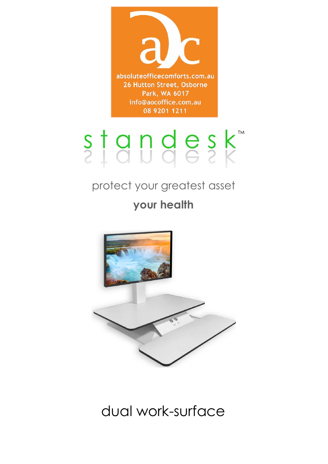

# standesk

## protect your greatest asset **your health**



## dual work-surface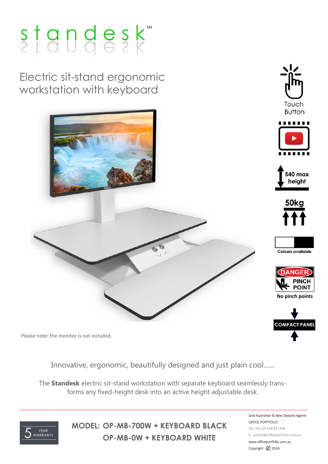## $s$ <sub>1</sub>andesk

Electric sit-stand ergonomic workstation with keyboard



Please note: the monitor is not included.

Innovative, ergonomic, beautifully designed and just plain cool…...

The **Standesk** electric sit-stand workstation with separate keyboard seamlessly transforms any fixed-height desk into an active height adjustable desk.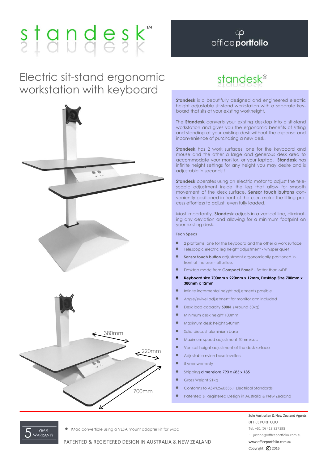## Electric sit-stand ergonomic workstation with keyboard



## andesk<sup>®</sup>

**Standesk** is a beautifully designed and engineered electric height adjustable sit-stand workstation with a separate keyboard that sits at your existing workheight.

The **Standesk** converts your existing desktop into a sit-stand workstation and gives you the ergonomic benefits of sitting and standing at your existing desk without the expense and inconvenience of purchasing a new desk.

**Standesk** has 2 work surfaces, one for the keyboard and mouse and the other a large and generous desk area to accommodate your monitor, or your laptop. **Standesk** has infinite height settings for any height you may desire and is adjustable in seconds!!

**Standesk** operates using an electric motor to adjust the telescopic adjustment inside the leg that allow for smooth movement of the desk surface. **Sensor touch buttons** conveniently positioned in front of the user, make the lifting process effortless to adjust, even fully loaded.

Most importantly, **Standesk** adjusts in a vertical line, eliminating any deviation and allowing for a minimum footprint on your existing desk.

#### **Tech Specs**

- 2 platforms, one for the keyboard and the other a work surface
- Telescopic electric leg height adjustment whisper quiet
- **Sensor touch button** adjustment ergonomically positioned in front of the user - effortless
- Desktop made from **Compact Panel**\* Better than MDF
- **Keyboard size 700mm x 220mm x 12mm, Desktop Size 700mm x 380mm x 12mm**
- Infinite incremental height adjustments possible
- Angle/swivel adjustment for monitor arm included
- Desk load capacity **500N** (Around 50kg)
- Minimum desk height 100mm
- Maximum desk height 540mm
- Solid diecast aluminium base
- Maximum speed adjustment 40mm/sec
- Vertical height adjustment of the desk surface
- Adjustable nylon base levellers
- 5 year warranty
- Shipping dimensions 790 x 685 x 185
- Gross Weight 21kg
- Conforms to AS/NZS60335.1 Electrical Standards
- Patented & Registered Design in Australia & New Zealand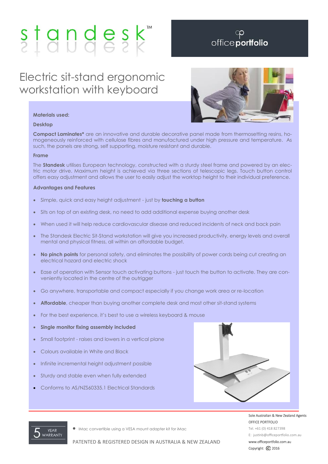## Electric sit-stand ergonomic workstation with keyboard



#### **Materials used:**

#### **Desktop**

**Compact Laminates\*** are an innovative and durable decorative panel made from thermosetting resins, homogeneously reinforced with cellulose fibres and manufactured under high pressure and temperature. As such, the panels are strong, self supporting, moisture resistant and durable.

#### **Frame**

The **Standesk** utilises European technology, constructed with a sturdy steel frame and powered by an electric motor drive. Maximum height is achieved via three sections of telescopic legs. Touch button control offers easy adjustment and allows the user to easily adjust the worktop height to their individual preference.

#### **Advantages and Features**

- Simple, quick and easy height adjustment just by **touching a button**
- Sits on top of an existing desk, no need to add additional expense buying another desk
- When used it will help reduce cardiovascular disease and reduced incidents of neck and back pain
- The Standesk Electric Sit-Stand workstation will give you increased productivity, energy levels and overall mental and physical fitness, all within an affordable budget.
- **No pinch points** for personal safety, and eliminates the possibility of power cords being cut creating an electrical hazard and electric shock
- Ease of operation with Sensor touch activating buttons just touch the button to activate. They are conveniently located in the centre of the outrigger
- Go anywhere, transportable and compact especially if you change work area or re-location
- **Affordable**, cheaper than buying another complete desk and most other sit-stand systems
- For the best experience, it's best to use a wireless keyboard & mouse
- **Single monitor fixing assembly included**
- Small footprint raises and lowers in a vertical plane
- Colours available in White and Black
- Infinite incremental height adjustment possible
- Sturdy and stable even when fully extended
- Conforms to AS/NZS60335.1 Electrical Standards

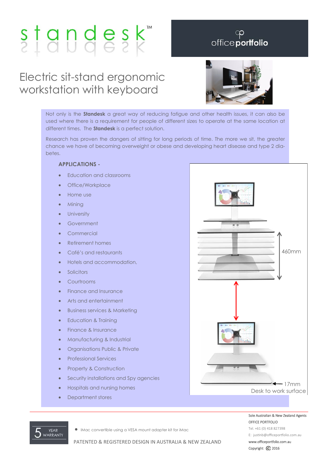## Electric sit-stand ergonomic workstation with keyboard



Not only is the **Standesk** a great way of reducing fatigue and other health issues, it can also be used where there is a requirement for people of different sizes to operate at the same location at different times. The **Standesk** is a perfect solution.

Research has proven the dangers of sitting for long periods of time. The more we sit, the greater chance we have of becoming overweight or obese and developing heart disease and type 2 diabetes.

#### **APPLICATIONS -**

- Education and classrooms
- Office/Workplace
- Home use
- **Mining**
- **University**
- Government
- Commercial
- Retirement homes
- Café's and restaurants
- Hotels and accommodation,
- **Solicitors**
- **Courtrooms**
- Finance and Insurance
- Arts and entertainment
- Business services & Marketing
- Education & Training
- Finance & Insurance
- Manufacturing & Industrial
- **•** Organisations Public & Private
- **•** Professional Services
- Property & Construction
- Security installations and Spy agencies
- Hospitals and nursing homes
- Department stores